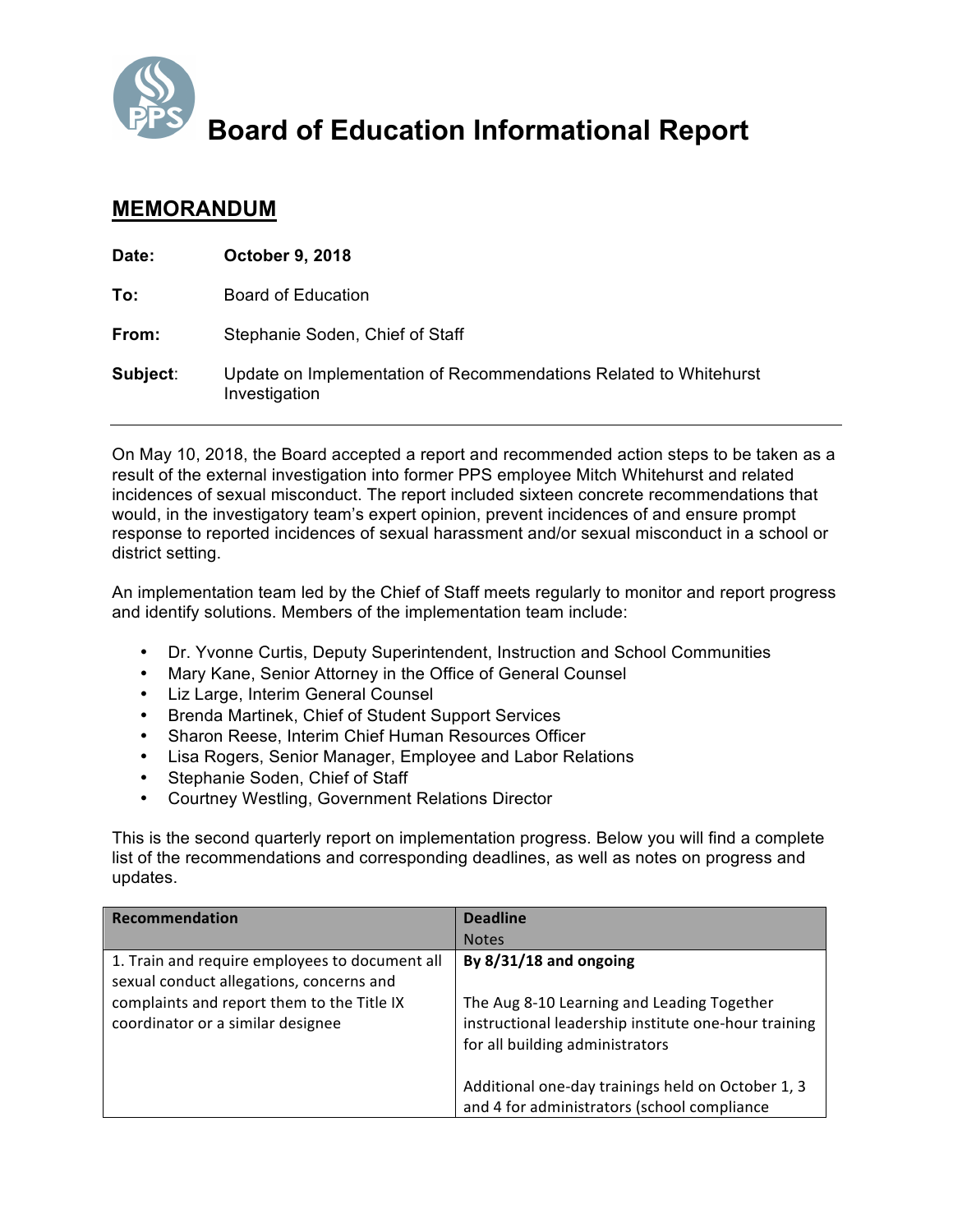

**Board of Education Informational Report**

## **MEMORANDUM**

| Date:    | <b>October 9, 2018</b>                                                             |
|----------|------------------------------------------------------------------------------------|
| To:      | Board of Education                                                                 |
| From:    | Stephanie Soden, Chief of Staff                                                    |
| Subject: | Update on Implementation of Recommendations Related to Whitehurst<br>Investigation |

On May 10, 2018, the Board accepted a report and recommended action steps to be taken as a result of the external investigation into former PPS employee Mitch Whitehurst and related incidences of sexual misconduct. The report included sixteen concrete recommendations that would, in the investigatory team's expert opinion, prevent incidences of and ensure prompt response to reported incidences of sexual harassment and/or sexual misconduct in a school or district setting.

An implementation team led by the Chief of Staff meets regularly to monitor and report progress and identify solutions. Members of the implementation team include:

- Dr. Yvonne Curtis, Deputy Superintendent, Instruction and School Communities
- Mary Kane, Senior Attorney in the Office of General Counsel
- Liz Large, Interim General Counsel
- Brenda Martinek, Chief of Student Support Services
- Sharon Reese, Interim Chief Human Resources Officer
- Lisa Rogers, Senior Manager, Employee and Labor Relations
- Stephanie Soden, Chief of Staff
- Courtney Westling, Government Relations Director

This is the second quarterly report on implementation progress. Below you will find a complete list of the recommendations and corresponding deadlines, as well as notes on progress and updates.

| <b>Recommendation</b>                                                                      | <b>Deadline</b>                                                                                                                       |
|--------------------------------------------------------------------------------------------|---------------------------------------------------------------------------------------------------------------------------------------|
|                                                                                            | <b>Notes</b>                                                                                                                          |
| 1. Train and require employees to document all<br>sexual conduct allegations, concerns and | By $8/31/18$ and ongoing                                                                                                              |
| complaints and report them to the Title IX<br>coordinator or a similar designee            | The Aug 8-10 Learning and Leading Together<br>instructional leadership institute one-hour training<br>for all building administrators |
|                                                                                            | Additional one-day trainings held on October 1, 3<br>and 4 for administrators (school compliance                                      |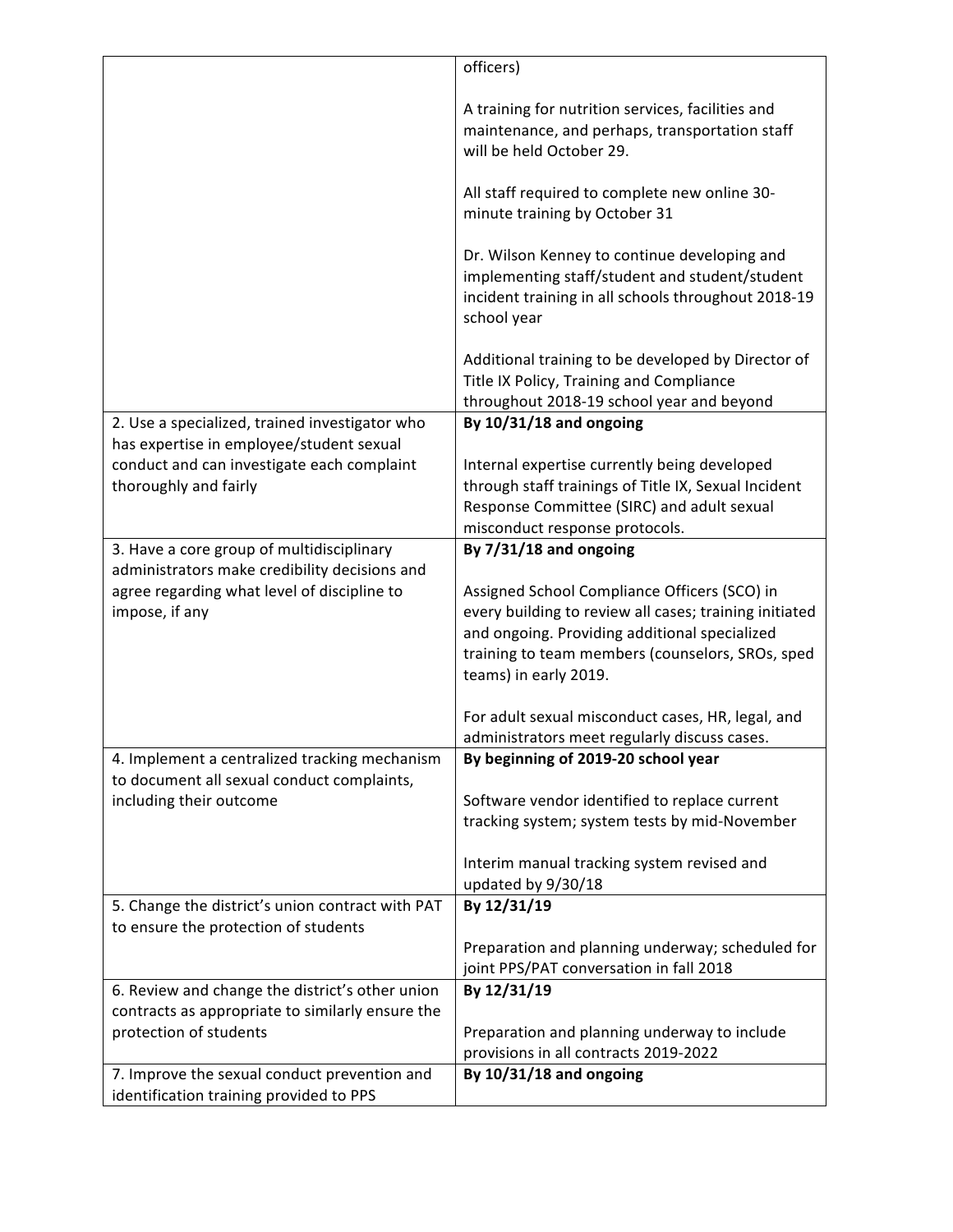|                                                  | officers)                                              |
|--------------------------------------------------|--------------------------------------------------------|
|                                                  |                                                        |
|                                                  | A training for nutrition services, facilities and      |
|                                                  | maintenance, and perhaps, transportation staff         |
|                                                  | will be held October 29.                               |
|                                                  |                                                        |
|                                                  | All staff required to complete new online 30-          |
|                                                  | minute training by October 31                          |
|                                                  |                                                        |
|                                                  | Dr. Wilson Kenney to continue developing and           |
|                                                  | implementing staff/student and student/student         |
|                                                  | incident training in all schools throughout 2018-19    |
|                                                  | school year                                            |
|                                                  |                                                        |
|                                                  | Additional training to be developed by Director of     |
|                                                  | Title IX Policy, Training and Compliance               |
|                                                  | throughout 2018-19 school year and beyond              |
| 2. Use a specialized, trained investigator who   | By 10/31/18 and ongoing                                |
| has expertise in employee/student sexual         |                                                        |
| conduct and can investigate each complaint       | Internal expertise currently being developed           |
| thoroughly and fairly                            | through staff trainings of Title IX, Sexual Incident   |
|                                                  | Response Committee (SIRC) and adult sexual             |
|                                                  | misconduct response protocols.                         |
| 3. Have a core group of multidisciplinary        | By 7/31/18 and ongoing                                 |
| administrators make credibility decisions and    |                                                        |
| agree regarding what level of discipline to      | Assigned School Compliance Officers (SCO) in           |
| impose, if any                                   | every building to review all cases; training initiated |
|                                                  | and ongoing. Providing additional specialized          |
|                                                  | training to team members (counselors, SROs, sped       |
|                                                  | teams) in early 2019.                                  |
|                                                  |                                                        |
|                                                  | For adult sexual misconduct cases, HR, legal, and      |
|                                                  | administrators meet regularly discuss cases.           |
| 4. Implement a centralized tracking mechanism    | By beginning of 2019-20 school year                    |
| to document all sexual conduct complaints,       |                                                        |
| including their outcome                          | Software vendor identified to replace current          |
|                                                  | tracking system; system tests by mid-November          |
|                                                  |                                                        |
|                                                  | Interim manual tracking system revised and             |
|                                                  | updated by 9/30/18                                     |
| 5. Change the district's union contract with PAT | By 12/31/19                                            |
| to ensure the protection of students             |                                                        |
|                                                  | Preparation and planning underway; scheduled for       |
|                                                  | joint PPS/PAT conversation in fall 2018                |
| 6. Review and change the district's other union  | By 12/31/19                                            |
| contracts as appropriate to similarly ensure the |                                                        |
| protection of students                           | Preparation and planning underway to include           |
|                                                  | provisions in all contracts 2019-2022                  |
| 7. Improve the sexual conduct prevention and     | By 10/31/18 and ongoing                                |
| identification training provided to PPS          |                                                        |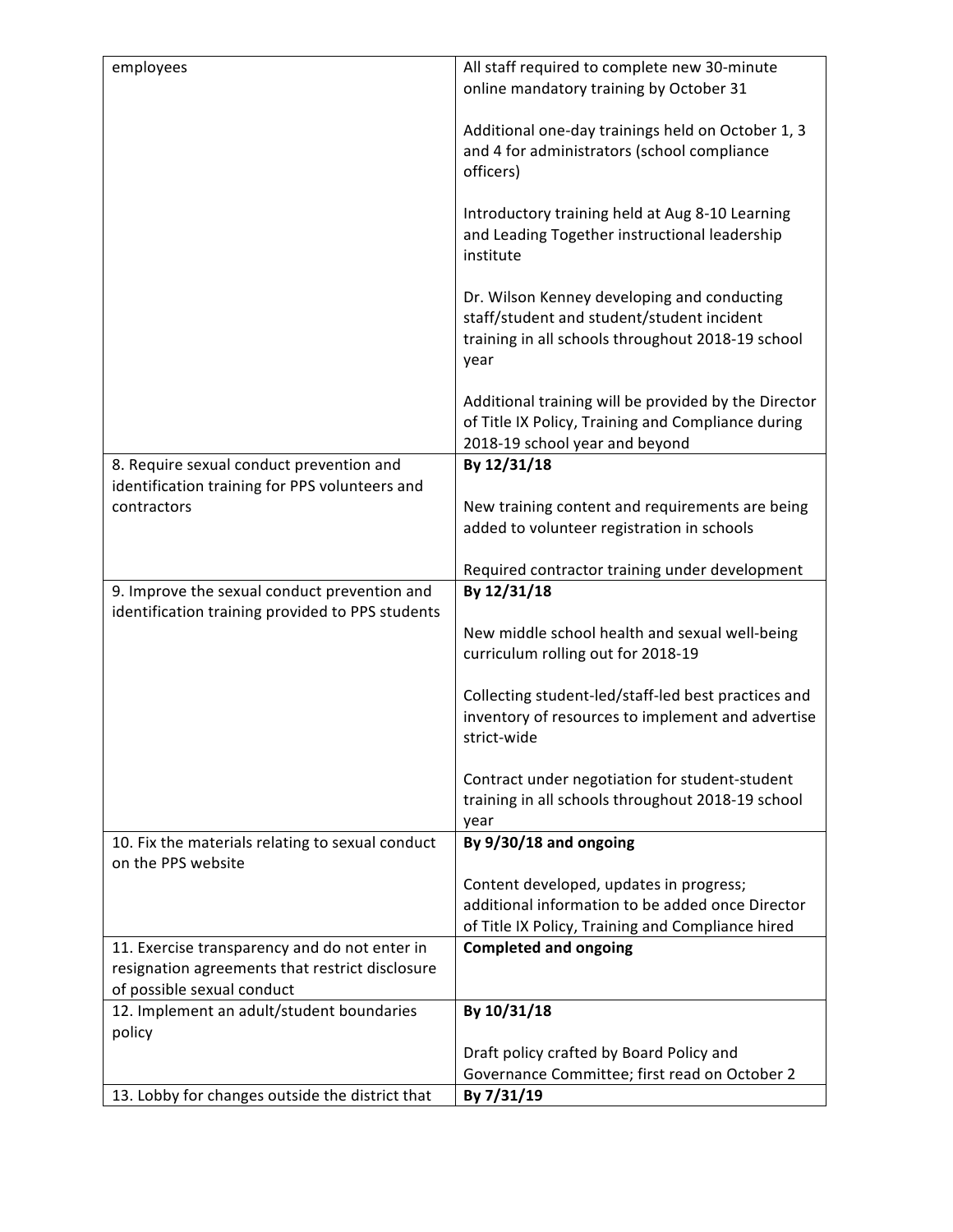| employees                                                                                        | All staff required to complete new 30-minute                                                                                                           |
|--------------------------------------------------------------------------------------------------|--------------------------------------------------------------------------------------------------------------------------------------------------------|
|                                                                                                  | online mandatory training by October 31                                                                                                                |
|                                                                                                  | Additional one-day trainings held on October 1, 3<br>and 4 for administrators (school compliance<br>officers)                                          |
|                                                                                                  | Introductory training held at Aug 8-10 Learning<br>and Leading Together instructional leadership<br>institute                                          |
|                                                                                                  | Dr. Wilson Kenney developing and conducting<br>staff/student and student/student incident<br>training in all schools throughout 2018-19 school<br>year |
|                                                                                                  | Additional training will be provided by the Director<br>of Title IX Policy, Training and Compliance during<br>2018-19 school year and beyond           |
| 8. Require sexual conduct prevention and                                                         | By 12/31/18                                                                                                                                            |
| identification training for PPS volunteers and<br>contractors                                    | New training content and requirements are being                                                                                                        |
|                                                                                                  | added to volunteer registration in schools                                                                                                             |
|                                                                                                  |                                                                                                                                                        |
|                                                                                                  | Required contractor training under development                                                                                                         |
|                                                                                                  |                                                                                                                                                        |
| 9. Improve the sexual conduct prevention and<br>identification training provided to PPS students | By 12/31/18                                                                                                                                            |
|                                                                                                  | New middle school health and sexual well-being<br>curriculum rolling out for 2018-19                                                                   |
|                                                                                                  | Collecting student-led/staff-led best practices and<br>inventory of resources to implement and advertise<br>strict-wide                                |
|                                                                                                  | Contract under negotiation for student-student<br>training in all schools throughout 2018-19 school<br>year                                            |
| 10. Fix the materials relating to sexual conduct<br>on the PPS website                           | By 9/30/18 and ongoing                                                                                                                                 |
|                                                                                                  | Content developed, updates in progress;                                                                                                                |
|                                                                                                  | additional information to be added once Director                                                                                                       |
|                                                                                                  | of Title IX Policy, Training and Compliance hired                                                                                                      |
| 11. Exercise transparency and do not enter in<br>resignation agreements that restrict disclosure | <b>Completed and ongoing</b>                                                                                                                           |
| of possible sexual conduct                                                                       |                                                                                                                                                        |
| 12. Implement an adult/student boundaries                                                        | By 10/31/18                                                                                                                                            |
| policy                                                                                           |                                                                                                                                                        |
|                                                                                                  | Draft policy crafted by Board Policy and<br>Governance Committee; first read on October 2                                                              |